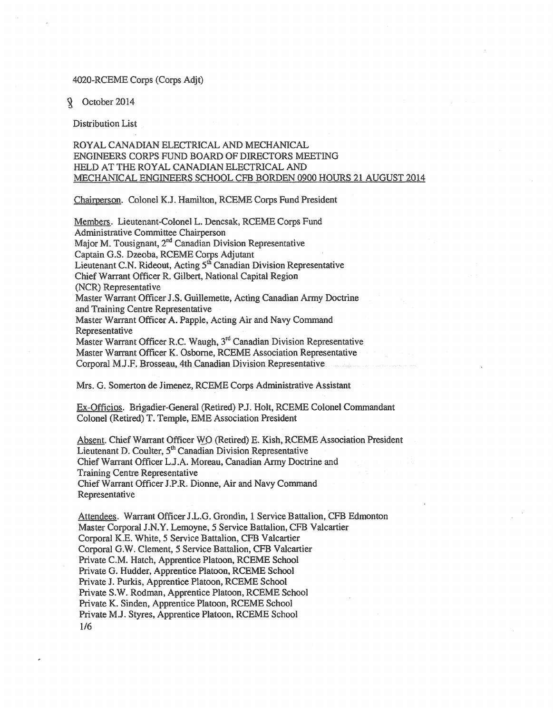#### 4020-RCEME Corps (Corps Adjt)

9 October 2014

Distribution List

# ROY AL CANADIAN ELECTRICAL AND MECHANICAL ENGINEERS CORPS FUND BOARD OF DIRECTORS MEETING HELD AT THE ROYAL CANADIAN ELECTRICAL AND MECHANICAL ENGINEERS SCHOOL CFB BORDEN 0900 HOURS 21 AUGUST 2014

Chairperson. Colonel KJ. Hamilton, RCEME Corps Fund President

Members. Lieutenant-Colonel L. Dencsak, RCEME Corps Fund Administrative Committee Chairperson Major M. Tousignant, 2<sup>nd</sup> Canadian Division Representative Captain G.S. Dzeoba, RCEME Corps Adjutant Lieutenant C.N. Rideout, Acting 5<sup>th</sup> Canadian Division Representative Chief Warrant Officer R. Gilbert, National Capital Region (NCR) Representative Master Warrant Officer J.S. Guillemette, Acting Canadian Army Doctrine and Training Centre Representative Master Warrant Officer A. Papple, Acting Air and Navy Command Representative Master Warrant Officer R.C. Waugh, 3rd Canadian Division Representative Master Warrant Officer K. Osborne, RCEME Association Representative Corporal M.J.F. Brosseau, 4th Canadian Division Representative

Mrs. G. Somerton de Jimenez, RCEME Corps Administrative Assistant

Ex-Officios. Brigadier-General (Retired) P.J. Holt, RCEME Colonel Commandant Colonel (Retired) T. Temple, EME Association President

Absent. Chief Warrant Officer WO (Retired) E. Kish, RCEME Association President Lieutenant D. Coulter,  $5<sup>th</sup>$  Canadian Division Representative Chief Warrant Officer LJ .A. Moreau, Canadian Army Doctrine and Training Centre Representative Chief Warrant Officer J.P.R. Dionne, Air and Navy Command Representative

Attendees. Warrant Officer J.L.G. Grondin, 1 Service Battalion, CFB Edmonton Master Corporal J.N.Y. Lemoyne, 5 Service Battalion, CFB Valcartier Corporal K.E. White, 5 Service Battalion, CFB Valcartier Corporal G.W. Clement, 5 Service Battalion, CFB Valcartier Private C.M. Hatch, Apprentice Platoon, RCEME School Private G. Hudder, Apprentice Platoon, RCEME School Private J. Purkis, Apprentice Platoon, RCEME School Private S.W. Rodman, Apprentice Platoon, RCEME School Private K. Sinden, Apprentice Platoon, RCEME School Private MJ. Styres, Apprentice Platoon, RCEME School 1/6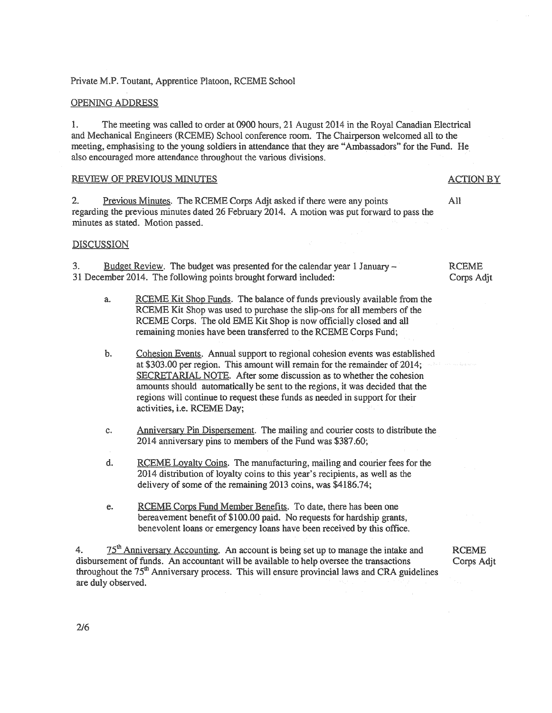## Private M.P. Toutant, Apprentice Platoon, RCEME School

## OPENING ADDRESS

1. The meeting was called to order at 0900 hours, 21August2014 in the Royal Canadian Electrical and Mechanical Engineers (RCEME) School conference room. The Chairperson welcomed all to the meeting, emphasising to the young soldiers in attendance that they are "Ambassadors" for the Fund. He also encouraged more attendance throughout the various divisions.

#### REVIEW OF PREVIOUS MINUTES ACTION BY

2. Previous Minutes. The RCEME Corps Adjt asked if there were any points AH regarding the previous minutes dated 26 February 2014. A motion was put forward to pass the minutes as stated. Motion passed.

RCEME Corps Adjt

#### DISCUSSION

3. Budget Review. The budget was presented for the calendar year 1 January-31 December 2014. The following points brought forward included:

- a. RCEME Kit Shop Funds. The balance of funds previously available from the RCEME Kit Shop was used to purchase the slip-ons for all members of the RCEME Corps. The old EME Kit Shop is now officially closed and all remaining monies have been transferred to the RCEME Corps Fund;
- b. Cohesion Events. Annual support to regional cohesion events was established at  $$303.00$  per region. This amount will remain for the remainder of 2014; SECRETARIAL NOTE. After some discussion as to whether the cohesion amounts should automatically be sent to the regions, it was decided that the regions will continue to request these funds as needed in support for their activities, i.e. RCEME Day;
- c. Anniversary Pin Dispersement. The mailing and courier costs to distribute the 2014 anniversary pins to members of the Fund was \$387 .60;
- d. RCEME Loyalty Coins. The manufacturing, mailing and courier fees for the 2014 distribution of loyalty coins to this year's recipients, as well as the delivery of some of the remaining 2013 coins, was \$4186.74;
- e. RCEME Corps Fund Member Benefits. To date, there has been one bereavement benefit of \$100.00 paid. No requests for hardship grants, benevolent loans or emergency loans have been received by this office.

4.  $75<sup>th</sup>$  Anniversary Accounting. An account is being set up to manage the intake and RCEME disbursement of funds. An accountant will be available to help oversee the transactions Corps Adjt throughout the  $75<sup>th</sup>$  Anniversary process. This will ensure provincial laws and CRA guidelines are duly observed.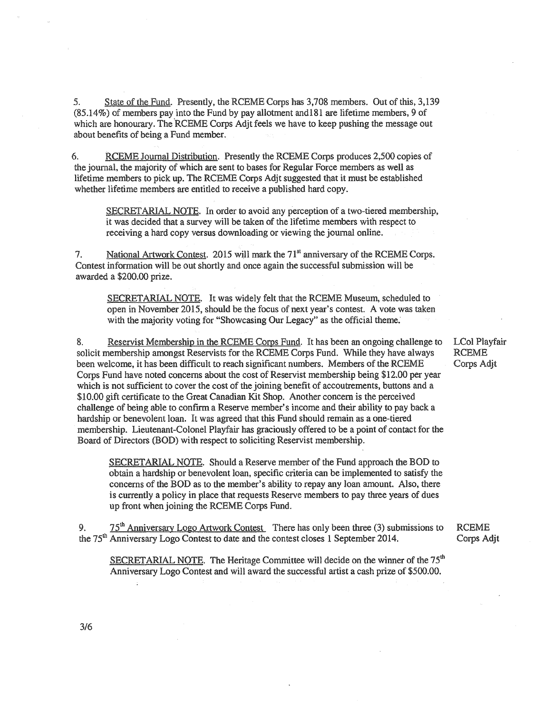5. State of the Fund. Presently, the RCEME Corps has 3,708 members. Out of this, 3,139 (85.14%) of members pay into the Fund by pay allotment andl81 are lifetime members, 9 of which are honourary. The RCEME Corps Adjt feels we have to keep pushing the message out about benefits of being a Fund member.

6. RCEME Journal Distribution. Presently the RCEME Corps produces 2,500 copies of the journal, the majority of which are sent to bases for Regular Force members as well as lifetime members to pick up. The RCEME Corps Adjt suggested that it must be established whether lifetime members are entitled to receive a published hard copy.

SECRET ARIAL NOTE. In order to avoid any perception of a two-tiered membership, it was decided that a survey will be taken of the lifetime members with respect to receiving a hard copy versus downloading or viewing the journal online.

7. National Artwork Contest. 2015 will mark the 71<sup>st</sup> anniversary of the RCEME Corps. Contest information will be out shortly and once again the successful submission will be awarded a \$200.00 prize.

SECRETARIAL NOTE. It was widely felt that the RCEME Museum, scheduled to open in November 2015, should be the focus of next year's contest. A vote was taken with the majority voting for "Showcasing Our Legacy" as the official theme.

8. Reservist Membership in the RCEME Corps Fund. It has been an ongoing challenge to solicit membership amongst Reservists for the RCEME Corps Fund. While they have always been welcome, it has been difficult to reach significant numbers. Members of the RCEME Corps Fund have noted concerns about the cost of Reservist membership being \$12.00 per year which is not sufficient to cover the cost of the joining benefit of accoutrements, buttons and a \$10.00 gift certificate to the Great Canadian Kit Shop. Another concern is the perceived challenge of being able to confirm a Reserve member's income and their ability to pay back a hardship or benevolent loan. It was agreed that this Fund should remain as a one-tiered membership. Lieutenant-Colonel Playfair has graciously offered to be a point of contact for the Board of Directors (BOD) with respect to soliciting Reservist membership.

SECRETARIAL NOTE. Should a Reserve member of the Fund approach the BOD to obtain a hardship or benevolent loan, specific criteria can be implemented to satisfy the concerns of the BOD as to the member's ability to repay any loan amount. Also, there is currently a policy in place that requests Reserve members to pay three years of dues up front when joining the RCEME Corps Fund.

9.  $75<sup>th</sup>$  Anniversary Logo Artwork Contest There has only been three (3) submissions to the 75th Anniversary Logo Contest to date and the contest closes 1 September 2014.

SECRETARIAL NOTE. The Heritage Committee will decide on the winner of the  $75<sup>th</sup>$ Anniversary Logo Contest and will award the successful artist a cash prize of \$500.00.

LCol Playfair RCEME Corps Adjt

RCEME Corps Adjt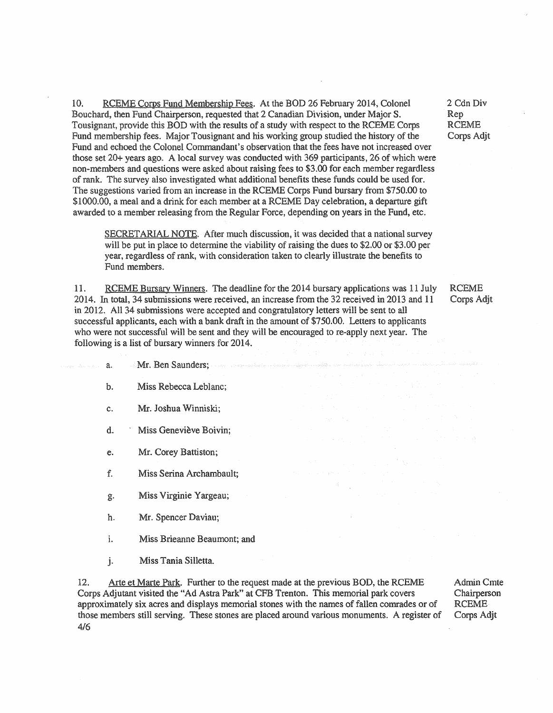10. RCEME Corps Fund Membership Fees. At the BOD 26 February 2014, Colonel Bouchard, then Fund Chairperson, requested that 2 Canadian Division, under Major S. Tousignant, provide this BOD with the results of a study with respect to the RCEME Corps Fund membership fees. Major Tousignant and his working group studied the history of the Fund and echoed the Colonel Commandant's observation that the fees have not increased over those set 20+ years ago. A local survey was conducted with 369 participants, 26 of which were non-members and questions were asked about raising fees to \$3.00 for each member regardless of rank. The survey also investigated what additional benefits these funds could be used for. The suggestions varied from an increase in the RCEME Corps Fund bursary from \$750.00 to \$1000.00, a meal and a drink for each member at a RCEME Day celebration, a departure gift awarded to a member releasing from the Regular Force, depending on years in the Fund, etc.

SECRET ARIAL NOTE. After much discussion, it was decided that a national survey will be put in place to determine the viability of raising the dues to  $$2.00$  or  $$3.00$  per year, regardless of rank, with consideration taken to clearly illustrate the benefits to Fund members.

11. RCEME Bursary Winners. The deadline for the 2014 bursary applications was 11 July 2014. In total, 34 submissions were received, an increase from the 32 received in 2013 and 11 in 2012. All 34 submissions were accepted and congratulatory letters will be sent to all successful applicants, each with a bank draft in the amount of \$750,00. Letters to applicants who were not successful will be sent and they will be encouraged to re-apply next year. The following is a list of bursary winners for 2014.

RCEME Corps Adjt

2 Cdn Div Rep RCEME Corps Adjt

- a. Mr. Ben Saunders;
- b. Miss Rebecca Leblanc;
- c. Mr. Joshua Winniski;
- d. Miss Geneviève Boivin;
- e. Mr. Corey Battiston;
- f. Miss Serina Archambault;
- g. Miss Virginie Y argeau;
- h. Mr. Spencer Daviau;
- i. Miss Brieanne Beaumont; and
- j. Miss Tania Silletta.

12. Arte et Marte Park. Further to the request made at the previous BOD, the RCEME Corps Adjutant visited the "Ad Astra Park" at CFB Trenton. This memorial park covers approximately six acres and displays memorial stones with the names of fallen comrades or of those members still serving. These stones are placed around various monuments. A register of 4/6

Admin Cmte Chairperson RCEME Corps Adjt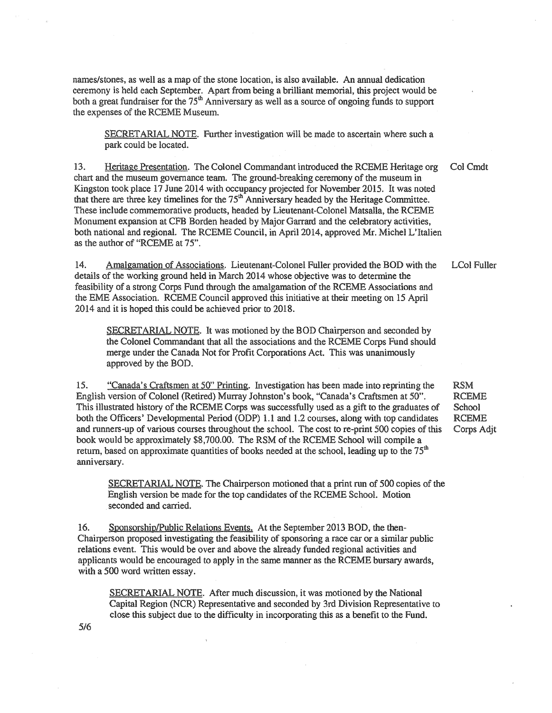names/stones, as well as a map of the stone location, is also available. An annual dedication ceremony is held each September. Apart from being a brilliant memorial, this project would be both a great fundraiser for the  $75<sup>th</sup>$  Anniversary as well as a source of ongoing funds to support the expenses of the RCEME Museum.

SECRETARIAL NOTE. Further investigation will be made to ascertain where such a park could be located.

13. Heritage Presentation. The Colonel Commandant introduced the RCEME Heritage org Col Cmdt chart and the museum governance team. The ground-breaking ceremony of the museum in Kingston took place 17 June 2014 with occupancy projected for November 2015. It was noted that there are three key timelines for the  $75<sup>th</sup>$  Anniversary headed by the Heritage Committee. These include commemorative products, headed by Lieutenant-Colonel Matsalla, the RCEME Monument expansion at CFB Borden headed by Major Garrard and the celebratory activities, both national and regional. The RCEME Council, in April 2014, approved Mr. Michel L'Italien as the author of "RCEME at 75".

14. Amalgamation of Associations. Lieutenant-Colonel Fuller provided the BOD with the LCoi Fuller details of the working ground held in March 2014 whose objective was to determine the feasibility of a strong Corps Fund through the amalgamation of the RCEME Associations and the EME Association. RCEME Council approved this initiative at their meeting on 15 April 2014 and it is hoped this could be achieved prior to 2018.

SECRET ARIAL NOTE. It was motioned by the BOD Chairperson and seconded by the Colonel Commandant that all the associations and the RCEME Corps Fund should merge under the Canada Not for Profit Corporations Act. This was unanimously approved by the BOD.

15. "Canada's Craftsmen at 50" Printing. Investigation has been made into reprinting the English version of Colonel (Retired) Murray Johnston's book, "Canada's Craftsmen at 50". This illustrated history of the RCEME Corps was successfully used as a gift to the graduates of both the Officers' Developmental Period (ODP) 1.1 and 1.2 courses, along with top candidates and runners-up of various courses throughout the school. The cost to re-print 500 copies of this book would be approximately \$8,700.00. The RSM of the RCEME School will compile a return, based on approximate quantities of books needed at the school, leading up to the 75<sup>th</sup> anniversary.

SECRET ARIAL NOTE. The Chairperson motioned that a print run of 500 copies of the English version be made for the top candidates of the RCEME School. Motion seconded and carried.

16. Sponsorship/Public Relations Events. At the September 2013 BOD, the then-Chairperson proposed investigating the feasibility of sponsoring a race car or a similar public relations event. This would be over and above the already funded regional activities and applicants would be encouraged to apply in the same manner as the RCEME bursary awards, with a 500 word written essay.

SECRETARIAL NOTE. After much discussion, it was motioned by the National Capital Region (NCR) Representative and seconded by 3rd Division Representative to close this subject due to the difficulty in incorporating this as a benefit to the Fund.

RSM RCEME **School** RCEME Corps Adjt

*516*